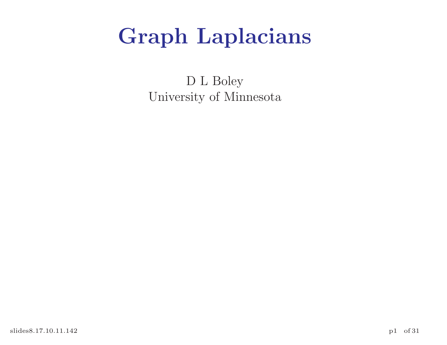## Graph Laplacians

D L Boley University of Minnesota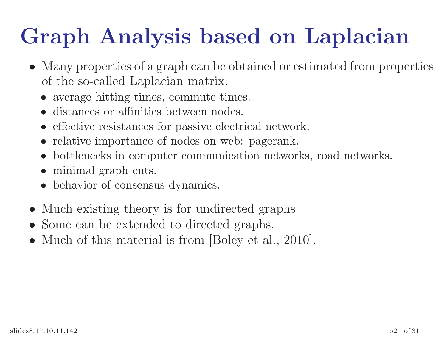## Graph Analysis based on Laplacian

- Many properties of a graph can be obtained or estimated from properties of the so-called Laplacian matrix.
	- average hitting times, commute times.
	- distances or affinities between nodes.
	- effective resistances for passive electrical network.
	- relative importance of nodes on web: pagerank.
	- bottlenecks in computer communication networks, road networks.
	- minimal graph cuts.
	- behavior of consensus dynamics.
- Much existing theory is for undirected graphs
- Some can be extended to directed graphs.
- Much of this material is from [Boley et al., 2010].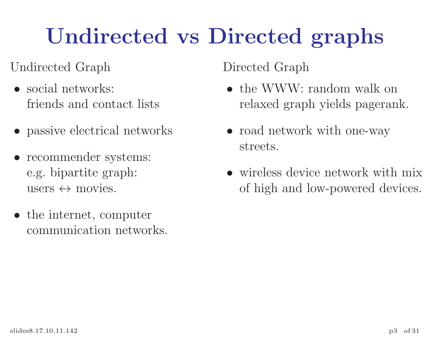# Undirected vs Directed graphs

#### Undirected Graph

- social networks: friends and contact lists
- passive electrical networks
- recommender systems: e.g. bipartite graph: users  $\leftrightarrow$  movies.
- the internet, computer communication networks.

#### Directed Graph

- the WWW: random walk on relaxed graph yields pagerank.
- road network with one-way streets.
- wireless device network with mix of high and low-powered devices.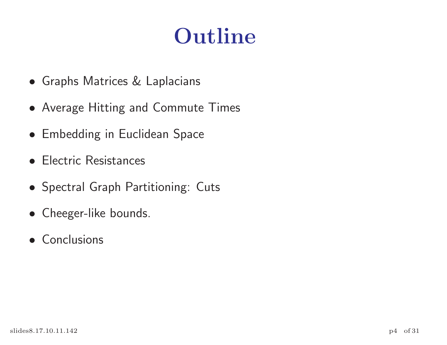## Outline

- Graphs Matrices & Laplacians
- Average Hitting and Commute Times
- Embedding in Euclidean Space
- Electric Resistances
- Spectral Graph Partitioning: Cuts
- Cheeger-like bounds.
- Conclusions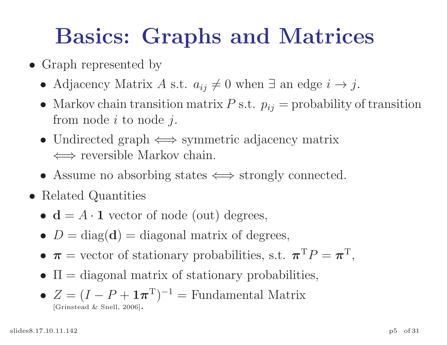## Basics: Graphs and Matrices

- Graph represented by
	- Adjacency Matrix A s.t.  $a_{ij} \neq 0$  when  $\exists$  an edge  $i \rightarrow j$ .
	- Markov chain transition matrix  $P$  s.t.  $p_{ij}$  = probability of transition from node  $i$  to node  $j$ .
	- Undirected graph  $\iff$  symmetric adjacency matrix ⇐⇒ reversible Markov chain.
	- Assume no absorbing states  $\iff$  strongly connected.
- Related Quantities
	- $\mathbf{d} = A \cdot \mathbf{1}$  vector of node (out) degrees,
	- $D = diag(d) = diag$  matrix of degrees,
	- $\pi$  = vector of stationary probabilities, s.t.  $\pi^T P = \pi^T$ ,
	- $\Pi =$  diagonal matrix of stationary probabilities,
	- $Z = (I P + \mathbf{1}\boldsymbol{\pi}^{\mathrm{T}})^{-1} =$  Fundamental Matrix [Grinstead & Snell, 2006].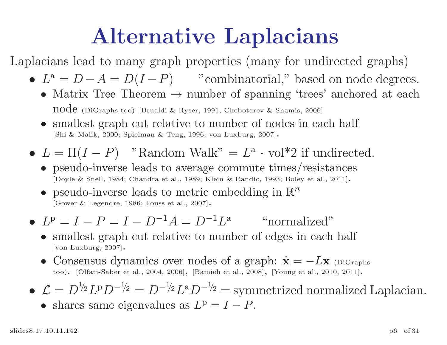## Alternative Laplacians

Laplacians lead to many grap<sup>h</sup> properties (many for undirected graphs)

- $L^a = D A = D(I P)$  "combinatorial," based on node degrees.
	- Matrix Tree Theorem  $\rightarrow$  number of spanning 'trees' anchored at each node (DiGraphs too) [Brualdi & Ryser, 1991; Chebotarev & Shamis, 2006]
	- smallest graph cut relative to number of nodes in each half [Shi & Malik, 2000; Spielman & Teng, 1996; von Luxburg, 2007].
- $L = \Pi(I P)$  "Random Walk" =  $L^{\mathsf{a}} \cdot \text{vol}^*2$  if undirected.
	- pseudo-inverse leads to average commute times/resistances [Doyle & Snell, 1984; Chandra et al., 1989; Klein & Randic, 1993; Boley et al., 2011].
	- pseudo-inverse leads to metric embedding in  $\mathbb{R}^n$ [Gower & Legendre, 1986; Fouss et al., 2007].
- $L^p = I P = I D^{-1}A = D^{-1}L^a$  "normalized"
	- smallest graph cut relative to number of edges in each half [von Luxburg, 2007].
	- Consensus dynamics over nodes of a graph:  $\dot{\mathbf{x}} = -L\mathbf{x}$  (DiGraphs too). [Olfati-Saber et al., 2004, 2006], [Bamieh et al., 2008], [Young et al., 2010, 2011].
- $\blacklozenge \mathcal{L} = D^{1/2} L^p D^{-1/2} = D^{-1/2} L^a D^{-1/2} = \text{symmetrized normalized Laplacian}.$ 
	- shares same eigenvalues as  $L^p = I P$ .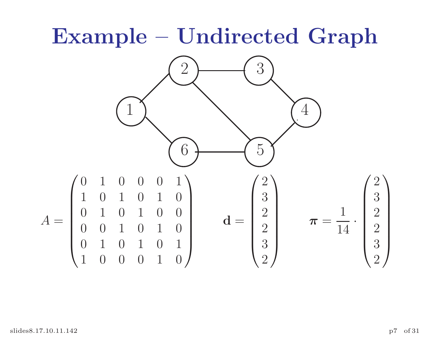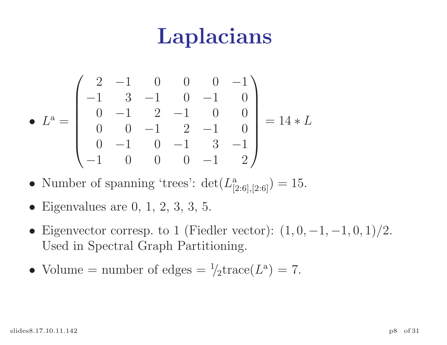## Laplacians

$$
\bullet \ L^{a} = \begin{pmatrix} 2 & -1 & 0 & 0 & 0 & -1 \\ -1 & 3 & -1 & 0 & -1 & 0 \\ 0 & -1 & 2 & -1 & 0 & 0 \\ 0 & 0 & -1 & 2 & -1 & 0 \\ 0 & -1 & 0 & -1 & 3 & -1 \\ -1 & 0 & 0 & 0 & -1 & 2 \end{pmatrix} = 14 * L
$$

- Number of spanning 'trees':  $\det(L^a_{[2:6],[2:6]}) = 15$ .
- Eigenvalues are  $0, 1, 2, 3, 3, 5$ .
- Eigenvector corresp. to 1 (Fiedler vector):  $(1, 0, -1, -1, 0, 1)/2$ . Used in Spectral Graph Partitioning.
- Volume = number of edges =  $\frac{1}{2}$ trace( $L^a$ ) = 7.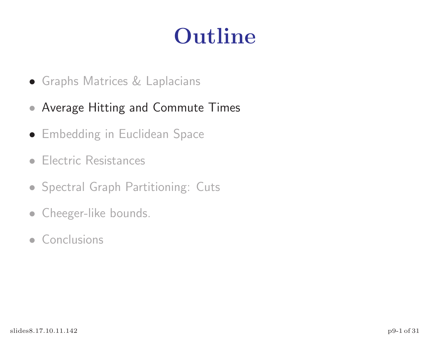## Outline

- Graphs Matrices & Laplacians
- Average Hitting and Commute Times
- Embedding in Euclidean Space
- Electric Resistances
- Spectral Graph Partitioning: Cuts
- Cheeger-like bounds.
- Conclusions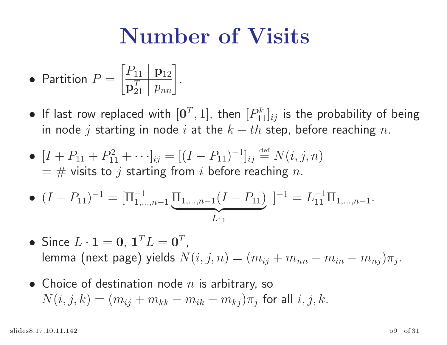## Number of Visits

• Partition 
$$
P = \begin{bmatrix} P_{11} & p_{12} \\ \overline{p}_{21}^T & p_{nn} \end{bmatrix}
$$
.

- $\bullet$  If last row replaced with  $[{\bf 0}^T,1]$ , then  $[P_1^k]$  $\left[ \begin{smallmatrix} k \ 11 \end{smallmatrix} \right]_{ij}$  is the probability of being in node  $j$  starting in node  $i$  at the  $k-th$  step, before reaching  $n.$
- $[I + P_{11} + P_{11}^2]$  $\mathbb{E}^{2}_{11} + \cdots$   $\mathbb{E}^{1}_{ij} = [(I - P_{11})^{-1}]_{ij} \stackrel{\text{def}}{=} N(i, j, n)$  $\lambda = \#$  visits to  $j$  starting from  $i$  before reaching  $n.$

• 
$$
(I - P_{11})^{-1} = [\Pi_{1,\dots,n-1}^{-1} \underbrace{\Pi_{1,\dots,n-1}(I - P_{11})}_{L_{11}}]^{-1} = L_{11}^{-1} \Pi_{1,\dots,n-1}.
$$

- Since  $L \cdot \mathbf{1} = \mathbf{0}, \ \mathbf{1}^T L = \mathbf{0}^T$ , lemma (next page) yields  $N(i,j,n) = (m_{ij} + m_{nn} - m_{in} - m_{nj})\pi_j.$
- $\bullet\,$  Choice of destination node  $n$  is arbitrary, so  $N(i,j,k)=(m_{ij}+m_{kk}-m_{ik}-m_{kj})\pi_j$  for all  $i,j,k.$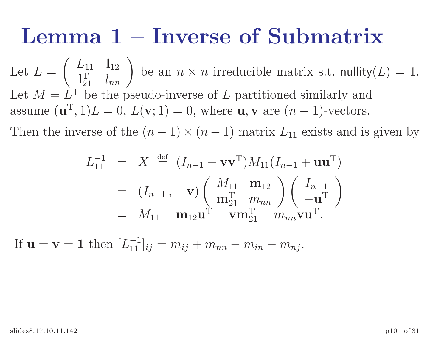#### Lemma 1 – Inverse of Submatrix

Let  $L =$  $\left(\right)$  $L_{11}$   ${\bf l}_{12}$  $\mathbf{l}^{\mathrm{T}}$  $\begin{pmatrix} 1 & 1 \\ 1 & 1 \\ 2 & 1 \end{pmatrix}$  be an  $n \times n$  irreducible matrix s.t. nullity $(L) = 1$ . Let  $M = L^+$  be the pseudo-inverse of L partitioned similarly and assume  $(\mathbf{u}^{\mathrm{T}}, 1)L = 0, L(\mathbf{v}; 1) = 0$ , where  $\mathbf{u}, \mathbf{v}$  are  $(n-1)$ -vectors.

Then the inverse of the  $(n-1) \times (n-1)$  matrix  $L_{11}$  exists and is given by

$$
L_{11}^{-1} = X \stackrel{\text{def}}{=} (I_{n-1} + \mathbf{v}\mathbf{v}^{\mathrm{T}})M_{11}(I_{n-1} + \mathbf{u}\mathbf{u}^{\mathrm{T}})
$$
  
\n
$$
= (I_{n-1}, -\mathbf{v}) \begin{pmatrix} M_{11} & \mathbf{m}_{12} \\ \mathbf{m}_{21}^{\mathrm{T}} & m_{nn} \end{pmatrix} \begin{pmatrix} I_{n-1} \\ -\mathbf{u}^{\mathrm{T}} \end{pmatrix}
$$
  
\n
$$
= M_{11} - \mathbf{m}_{12}\mathbf{u}^{\mathrm{T}} - \mathbf{v}\mathbf{m}_{21}^{\mathrm{T}} + m_{nn}\mathbf{v}\mathbf{u}^{\mathrm{T}}.
$$

If  $\mathbf{u} = \mathbf{v} = \mathbf{1}$  then  $[L_{11}^{-1}]$  $\begin{array}{l} [-1]_{ij}=m_{ij}+m_{nn}-m_{in}-m_{nj}. \end{array}$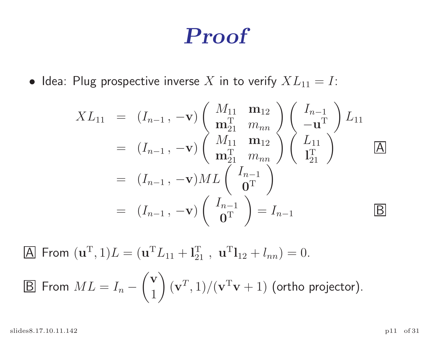#### Proof

• Idea: Plug prospective inverse X in to verify  $XL_{11} = I$ :

$$
XL_{11} = (I_{n-1}, -\mathbf{v}) \begin{pmatrix} M_{11} & \mathbf{m}_{12} \\ \mathbf{m}_{21}^{\mathrm{T}} & m_{nn} \\ m_{21}^{\mathrm{T}} & m_{nn} \end{pmatrix} \begin{pmatrix} I_{n-1} \\ -\mathbf{u}^{\mathrm{T}} \end{pmatrix} L_{11}
$$
  
=  $(I_{n-1}, -\mathbf{v}) \begin{pmatrix} M_{11} & \mathbf{m}_{12} \\ \mathbf{m}_{21}^{\mathrm{T}} & m_{nn} \\ \mathbf{0}^{\mathrm{T}} \end{pmatrix} \begin{pmatrix} L_{11} \\ \mathbf{I}_{21}^{\mathrm{T}} \end{pmatrix}$   $\boxed{\mathbf{A}}$   
=  $(I_{n-1}, -\mathbf{v}) ML \begin{pmatrix} I_{n-1} \\ \mathbf{0}^{\mathrm{T}} \end{pmatrix} = I_{n-1}$   $\boxed{\mathbf{B}}$ 

A From  $(\mathbf{u}^T, 1)L = (\mathbf{u}^T L_{11} + \mathbf{l}_{21}^T, \mathbf{u}^T \mathbf{l}_{12} + l_{nn}) = 0.$ 

B From 
$$
ML = I_n - {v \choose 1} (v^T, 1) / (v^T v + 1)
$$
 (ortho projector).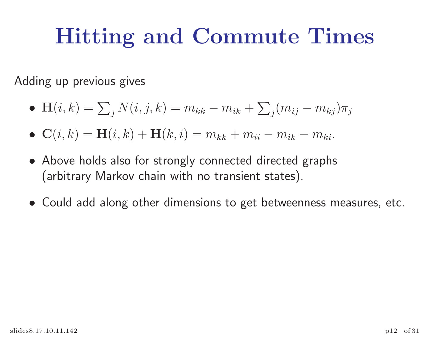## Hitting and Commute Times

Adding up previous gives

• 
$$
\mathbf{H}(i,k) = \sum_{j} N(i,j,k) = m_{kk} - m_{ik} + \sum_{j} (m_{ij} - m_{kj}) \pi_j
$$

- $\mathbf{C}(i,k) = \mathbf{H}(i,k) + \mathbf{H}(k,i) = m_{kk} + m_{ii} m_{ik} m_{ki}.$
- Above holds also for strongly connected directed graphs (arbitrary Markov chain with no transient states).
- Could add along other dimensions to get betweenness measures, etc.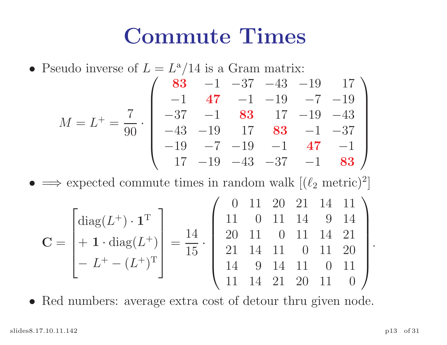#### Commute Times

• Pseudo inverse of 
$$
L = L^a/14
$$
 is a Gram matrix:  
\n
$$
M = L^+ = \frac{7}{90} \cdot \begin{pmatrix}\n83 & -1 & -37 & -43 & -19 & 17 \\
-1 & 47 & -1 & -19 & -7 & -19 \\
-37 & -1 & 83 & 17 & -19 & -43 \\
-43 & -19 & 17 & 83 & -1 & -37 \\
-19 & -7 & -19 & -1 & 47 & -1 \\
17 & -19 & -43 & -37 & -1 & 83\n\end{pmatrix}
$$

 $\bullet$  $\implies$  expected commute times in random walk  $[(\ell_2 \text{ metric})^2]$ ]

$$
\mathbf{C} = \begin{bmatrix} \text{diag}(L^+) \cdot \mathbf{1}^{\text{T}} \\ + \mathbf{1} \cdot \text{diag}(L^+) \\ -L^+ - (L^+)^{\text{T}} \end{bmatrix} = \frac{14}{15} \cdot \begin{pmatrix} 0 & 11 & 20 & 21 & 14 & 11 \\ 11 & 0 & 11 & 14 & 9 & 14 \\ 20 & 11 & 0 & 11 & 14 & 21 \\ 21 & 14 & 11 & 0 & 11 & 20 \\ 14 & 9 & 14 & 11 & 0 & 11 \\ 11 & 14 & 21 & 20 & 11 & 0 \end{pmatrix}
$$

• Red numbers: average extra cost of detour thru given node.

.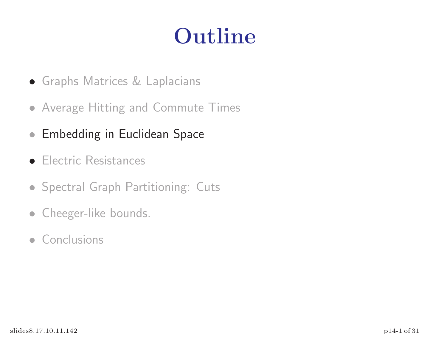## Outline

- Graphs Matrices & Laplacians
- Average Hitting and Commute Times
- Embedding in Euclidean Space
- **Electric Resistances**
- Spectral Graph Partitioning: Cuts
- Cheeger-like bounds.
- Conclusions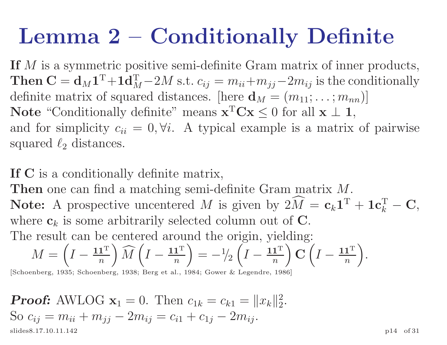## Lemma 2 – Conditionally Definite

If M is a symmetric positive semi-definite Gram matrix of inner products,  $\mathbf{T} \mathbf{hen} \ \mathbf{C} = \mathbf{d}_M \mathbf{1}^\mathrm{T} \!+\! \mathbf{1} \mathbf{d}_M^\mathrm{T}$  $\mathcal{L}_{M}^{-}$  -2M s.t.  $c_{ij} = m_{ii} + m_{jj} - 2m_{ij}$  is the conditionally definite matrix of squared distances. [here  $\mathbf{d}_M = (m_{11}; \ldots; m_{nn})$ ] Note "Conditionally definite" means  $\mathbf{x}^T \mathbf{C} \mathbf{x} \leq 0$  for all  $\mathbf{x} \perp \mathbf{1}$ , and for simplicity  $c_{ii} = 0, \forall i$ . A typical example is a matrix of pairwise squared  $\ell_2$  distances.

If <sup>C</sup> is <sup>a</sup> conditionally definite matrix,

Then one can find a matching semi-definite Gram matrix M. Note: A prospective uncentered M is given by  $2\hat{M} = c_k \mathbf{1}^T + \mathbf{1}c_k^T$  $\,k$  $-$  C, where  $\mathbf{c}_k$  is some arbitrarily selected column out of  $\mathbf{C}$ . The result can be centered around the origin, yielding:

 $M =$  $\frac{1}{\sqrt{2}}$  $I-\frac{{\bf 1}{\bf 1}^{\rm T}}{ }$  $\overline{n}$  $\begin{pmatrix} 1 \\ 1 \end{pmatrix}$  $\widehat{M}$  $\frac{1}{21}$  $I-\frac{{\bf 1}{\bf 1}^{\rm T}}{ }$  $\overline{n}$  $\left(\begin{array}{c} 1 \ 1 \end{array}\right)$  $=-\frac{1}{2}$  $\begin{pmatrix} 1 \\ 1 \end{pmatrix}$  $I-\frac{{\bf 1}{\bf 1}^{\rm T}}{ }$  $\frac{\mathbf{1}^{\mathbf{\perp}}}{n}$  ) C  $\left(\begin{array}{c} 1 \ 1 \end{array}\right)$  $\sum_{i=1}^{n}$  $I-\frac{{\bf 1}{\bf 1}^{\rm T}}{ }$  $\overline{n}$  ).  $\left.\rule{0pt}{12pt}\right)$ 

[Schoenberg, 1935; Schoenberg, 1938; Berg et al., 1984; Gower & Legendre, 1986]

**Proof:** AWLOG  $\mathbf{x}_1 = 0$ . Then  $c_{1k} = c_{k1} = ||x_k||_2^2$  $2\cdot$ So  $c_{ij} = m_{ii} + m_{jj} - 2m_{ij} = c_{i1} + c_{1j}$  $-2m_{ij}$ . slides8.17.10.11.142 p14 of 31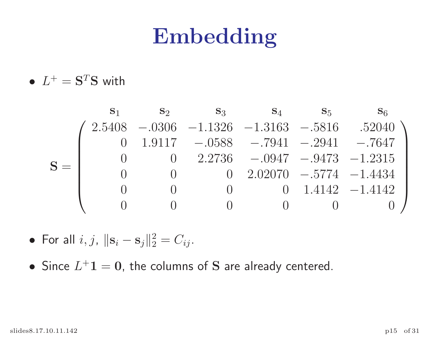#### Embedding

•  $L^+ = S^T S$  with

|  | $S_1$ | $\mathbf{S}_2$ | $\mathbf{S}_3$   | $\mathbf{s}_4$                                           | $S_5$ | S <sub>6</sub>     |
|--|-------|----------------|------------------|----------------------------------------------------------|-------|--------------------|
|  |       |                |                  | $2.5408$ -.0306 -1.1326 -1.3163 -.5816 .52040            |       |                    |
|  |       |                |                  | $0$ 1.9117 $-.0588$ $-.7941$ $-.2941$ $-.7647$           |       |                    |
|  |       |                |                  | $0 \quad 2.2736 \quad -.0947 \quad -.9473 \quad -1.2315$ |       |                    |
|  |       |                |                  | $0$ 2.02070 $-.5774$ $-1.4434$                           |       |                    |
|  |       |                | $\left( \right)$ |                                                          |       | 0 1.4142 $-1.4142$ |
|  |       |                |                  |                                                          |       |                    |

- For all  $i, j$ ,  $||\mathbf{s}_i \mathbf{s}_j||_2^2 = C_{ij}$ .
- Since  $L^+1 = 0$ , the columns of S are already centered.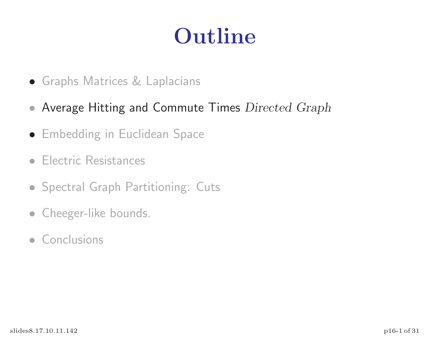## Outline

- Graphs Matrices & Laplacians
- Average Hitting and Commute Times Directed Graph
- Embedding in Euclidean Space
- Electric Resistances
- Spectral Graph Partitioning: Cuts
- Cheeger-like bounds.
- Conclusions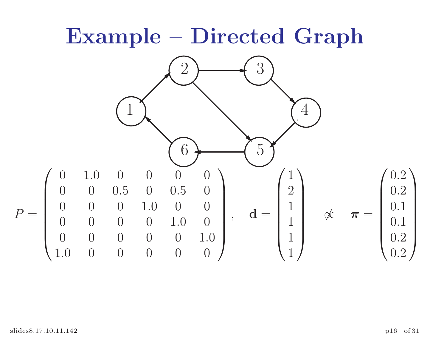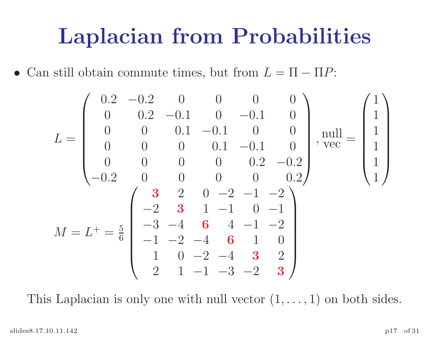#### Laplacian from Probabilities

• Can still obtain commute times, but from  $L = \Pi - \Pi P$ :

$$
L = \begin{pmatrix} 0.2 & -0.2 & 0 & 0 & 0 & 0 \\ 0 & 0.2 & -0.1 & 0 & -0.1 & 0 \\ 0 & 0 & 0.1 & -0.1 & 0 & 0 \\ 0 & 0 & 0 & 0.1 & -0.1 & 0 \\ 0 & 0 & 0 & 0 & 0.2 & -0.2 \\ -0.2 & 0 & 0 & 0 & 0 & 0.2 \end{pmatrix}, \text{well} = \begin{pmatrix} 1 \\ 1 \\ 1 \\ 1 \\ 1 \end{pmatrix}
$$

$$
M = L^{+} = \frac{5}{6} \begin{pmatrix} 3 & 2 & 0 & -2 & -1 & -2 \\ -2 & 3 & 1 & -1 & 0 & -1 \\ -3 & -4 & 6 & 4 & -1 & -2 \\ -1 & -2 & -4 & 6 & 1 & 0 \\ 1 & 0 & -2 & -4 & 3 & 2 \\ 2 & 1 & -1 & -3 & -2 & 3 \end{pmatrix}
$$

This Laplacian is only one with null vector  $(1, \ldots, 1)$  on both sides.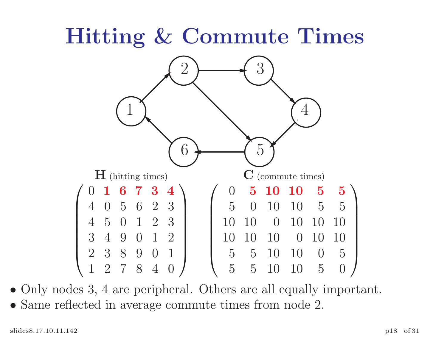## Hitting & Commute Times



• Only nodes 3, 4 are peripheral. Others are all equally important. • Same reflected in average commute times from node 2.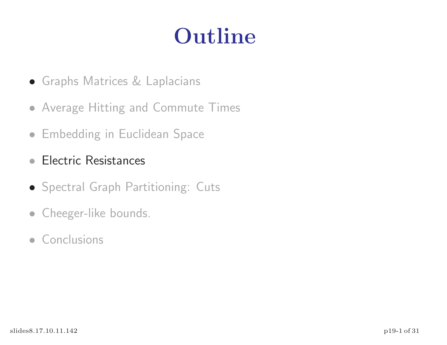## Outline

- Graphs Matrices & Laplacians
- Average Hitting and Commute Times
- Embedding in Euclidean Space
- Electric Resistances
- Spectral Graph Partitioning: Cuts
- Cheeger-like bounds.
- Conclusions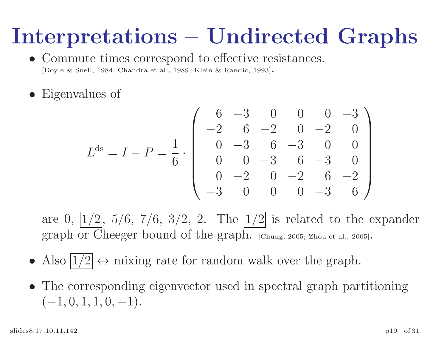## Interpretations – Undirected Graphs

- Commute times correspond to effective resistances. [Doyle & Snell, 1984; Chandra et al., 1989; Klein & Randic, 1993].
- Eigenvalues of

$$
Lds = I - P = \frac{1}{6} \cdot \begin{pmatrix} 6 & -3 & 0 & 0 & 0 & -3 \\ -2 & 6 & -2 & 0 & -2 & 0 \\ 0 & -3 & 6 & -3 & 0 & 0 \\ 0 & 0 & -3 & 6 & -3 & 0 \\ 0 & -2 & 0 & -2 & 6 & -2 \\ -3 & 0 & 0 & 0 & -3 & 6 \end{pmatrix}
$$

are 0,  $|1/2|$ ,  $5/6$ ,  $7/6$ ,  $3/2$ , 2. The  $|1/2|$  is related to the expander graph or Cheeger bound of the graph. [Chung, 2005; Zhou et al., 2005].

- Also  $\boxed{1/2} \leftrightarrow$  mixing rate for random walk over the graph.
- The corresponding eigenvector used in spectral graph partitioning  $(-1, 0, 1, 1, 0, -1).$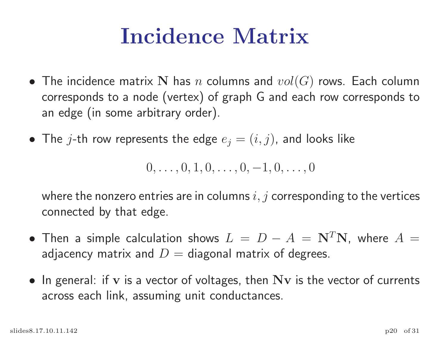## Incidence Matrix

- The incidence matrix  $\mathbf N$  has  $n$  columns and  $vol(G)$  rows. Each column corresponds to a node (vertex) of grap<sup>h</sup> G and each row corresponds to an edge (in some arbitrary order).
- $\bullet\,$  The  $j$ -th row represents the edge  $e_j=(i,j)$ , and looks like

 $0, \ldots, 0, 1, 0, \ldots, 0, -1, 0, \ldots, 0$ 

where the nonzero entries are in columns  $i, j$  corresponding to the vertices connected by that edge.

- Then a simple calculation shows  $L = D A = \mathbf{N}^T \mathbf{N}$ , where  $A =$ adjacency matrix and  $D=\hspace{1pt}\mathrm{diagonal}\hspace{1pt}$  matrix of degrees.
- $\bullet\,$  In general: if  ${\bf v}$  is a vector of voltages, then  ${\bf N}{\bf v}$  is the vector of currents across each link, assuming unit conductances.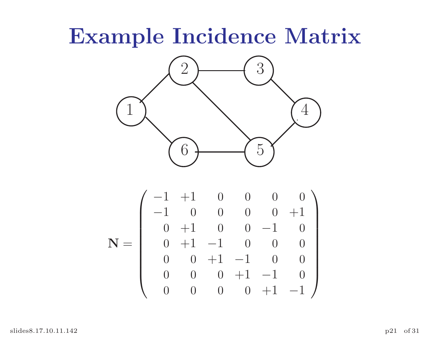### Example Incidence Matrix



$$
\mathbf{N} = \left(\begin{array}{cccccc} -1 & +1 & 0 & 0 & 0 & 0 \\ -1 & 0 & 0 & 0 & 0 & +1 \\ 0 & +1 & 0 & 0 & -1 & 0 \\ 0 & +1 & -1 & 0 & 0 & 0 \\ 0 & 0 & +1 & -1 & 0 & 0 \\ 0 & 0 & 0 & +1 & -1 & 0 \\ 0 & 0 & 0 & 0 & +1 & -1 \end{array}\right)
$$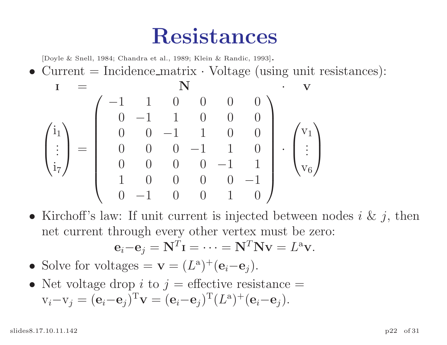#### Resistances

[Doyle & Snell, 1984; Chandra et al., 1989; Klein & Randic, 1993].

• Current  $=$  Incidence matrix  $\cdot$  Voltage (using unit resistances):

$$
\begin{array}{ccc}\nI & = & \mathbf{N} \\
\begin{pmatrix}\n\mathbf{i}_1 \\
\mathbf{j}_7\n\end{pmatrix} = \begin{pmatrix}\n-1 & 1 & 0 & 0 & 0 & 0 \\
0 & -1 & 1 & 0 & 0 & 0 \\
0 & 0 & -1 & 1 & 0 & 0 \\
0 & 0 & 0 & -1 & 1 & 0 \\
0 & 0 & 0 & 0 & -1 & 1 \\
1 & 0 & 0 & 0 & 0 & -1 \\
0 & -1 & 0 & 0 & 1 & 0\n\end{pmatrix} \cdot \begin{pmatrix}\n\mathbf{v}_1 \\
\mathbf{j}_2 \\
\mathbf{v}_6\n\end{pmatrix}\n\end{array}
$$

• Kirchoff's law: If unit current is injected between nodes  $i \& j$ , then net current through every other vertex must be zero:

$$
\mathbf{e}_i - \mathbf{e}_j = \mathbf{N}^T \mathbf{I} = \cdots = \mathbf{N}^T \mathbf{N} \mathbf{v} = L^{\mathbf{a}} \mathbf{v}.
$$

- Solve for voltages =  $\mathbf{v} = (L^{\mathbf{a}})^+(\mathbf{e}_i-\mathbf{e}_j)$ .
- Net voltage drop *i* to  $j$  = effective resistance =  $v_i-v_j = (\mathbf{e}_i-\mathbf{e}_j)^T\mathbf{v} = (\mathbf{e}_i-\mathbf{e}_j)^T(L^a)^+(\mathbf{e}_i-\mathbf{e}_j).$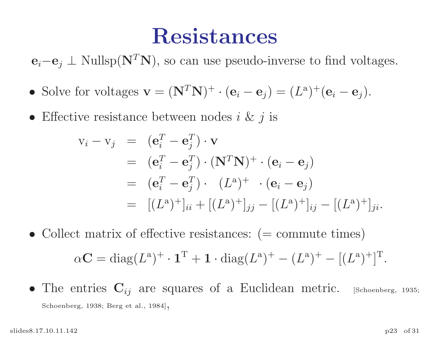#### Resistances

 $e_i-e_j \perp \text{Nullsp}(\mathbf{N}^T\mathbf{N})$ , so can use pseudo-inverse to find voltages.

- Solve for voltages  $\mathbf{v} = (\mathbf{N}^T \mathbf{N})^+ \cdot (\mathbf{e}_i \mathbf{e}_j) = (L^a)^+ (\mathbf{e}_i \mathbf{e}_j).$
- Effective resistance between nodes  $i \& j$  is

$$
\begin{array}{rcl}\n\mathbf{v}_i - \mathbf{v}_j & = & (\mathbf{e}_i^T - \mathbf{e}_j^T) \cdot \mathbf{v} \\
& = & (\mathbf{e}_i^T - \mathbf{e}_j^T) \cdot (\mathbf{N}^T \mathbf{N})^+ \cdot (\mathbf{e}_i - \mathbf{e}_j) \\
& = & (\mathbf{e}_i^T - \mathbf{e}_j^T) \cdot (L^a)^+ \cdot (\mathbf{e}_i - \mathbf{e}_j) \\
& = & [(L^a)^+]_{ii} + [(L^a)^+]_{jj} - [(L^a)^+]_{ij} - [(L^a)^+]_{ji}.\n\end{array}
$$

- Collect matrix of effective resistances:  $(=$  commute times)  $\alpha C = \text{diag}(L^a)^+ \cdot \mathbf{1}^T + \mathbf{1} \cdot \text{diag}(L^a)^+ - (L^a)^+ - [(L^a)^+]^T$ .
- The entries  $\mathbf{C}_{ij}$  are squares of a Euclidean metric. [Schoenberg, 1935; Schoenberg, 1938; Berg et al., 1984],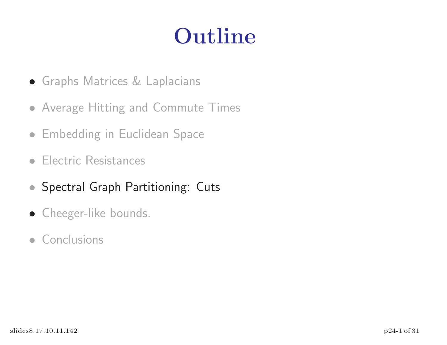## Outline

- Graphs Matrices & Laplacians
- Average Hitting and Commute Times
- Embedding in Euclidean Space
- Electric Resistances
- Spectral Graph Partitioning: Cuts
- Cheeger-like bounds.
- Conclusions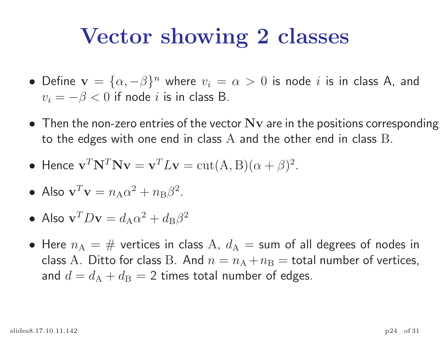### Vector showing 2 classes

- Define  $\mathbf{v} = {\alpha, -\beta}^n$  where  $v_i = \alpha > 0$  is node i is in class A, and  $v_i = -\beta < 0$  if node  $i$  is in class B.
- Then the non-zero entries of the vector  $Nv$  are in the positions corresponding to the edges with one end in class  ${\rm A}$  and the other end in class  ${\rm B}.$
- Hence  $\mathbf{v}^T \mathbf{N}^T \mathbf{N} \mathbf{v} = \mathbf{v}^T L \mathbf{v} = \text{cut}(A, B) (\alpha + \beta)^2$ .
- $\bullet$  Also  $\mathbf{v}^T \mathbf{v} = n_{\rm A} \alpha^2 + n_{\rm B} \beta^2$ .
- Also  $\mathbf{v}^T D \mathbf{v} = d_\mathrm{A} \alpha^2 + d_\mathrm{B} \beta^2$
- $\bullet$  Here  $n_{\rm A}=\#\,$  vertices in class  ${\rm A},\ d_{\rm A}=$  sum of all degrees of nodes in class  ${\rm A}$  . Ditto for class  ${\rm B}$  . And  $n=n_{\rm A}+n_{\rm B}=$  total number of vertices, and  $d=d_{\rm A}+d_{\rm B}=2$  times total number of edges.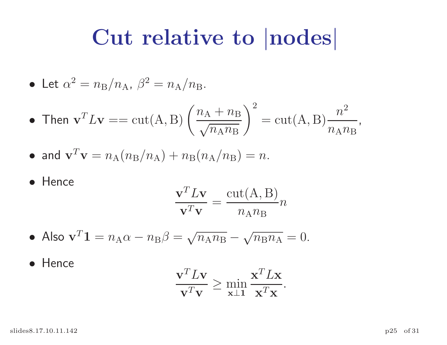#### Cut relative to |nodes|

• Let 
$$
\alpha^2 = n_\text{B}/n_\text{A}
$$
,  $\beta^2 = n_\text{A}/n_\text{B}$ .

• Then 
$$
\mathbf{v}^T L \mathbf{v} = \text{cut}(A, B) \left( \frac{n_A + n_B}{\sqrt{n_A n_B}} \right)^2 = \text{cut}(A, B) \frac{n^2}{n_A n_B}
$$
,

• and 
$$
\mathbf{v}^T \mathbf{v} = n_A (n_B/n_A) + n_B (n_A/n_B) = n
$$
.

• Hence

$$
\frac{\mathbf{v}^T L \mathbf{v}}{\mathbf{v}^T \mathbf{v}} = \frac{\text{cut}(A, B)}{n_A n_B} n
$$

• Also 
$$
\mathbf{v}^T \mathbf{1} = n_A \alpha - n_B \beta = \sqrt{n_A n_B} - \sqrt{n_B n_A} = 0.
$$

• Hence

$$
\frac{\mathbf{v}^T L \mathbf{v}}{\mathbf{v}^T \mathbf{v}} \ge \min_{\mathbf{x} \perp \mathbf{1}} \frac{\mathbf{x}^T L \mathbf{x}}{\mathbf{x}^T \mathbf{x}}.
$$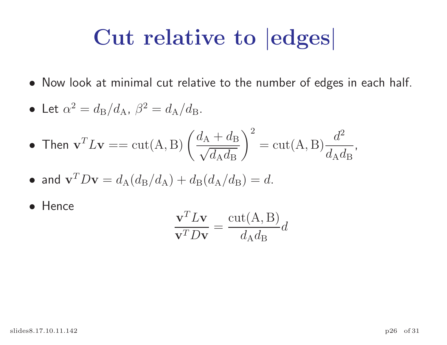## Cut relative to |edges|

• Now look at minimal cut relative to the number of edges in each half.

• Let 
$$
\alpha^2 = d_\text{B}/d_\text{A}
$$
,  $\beta^2 = d_\text{A}/d_\text{B}$ .

• Then 
$$
\mathbf{v}^T L \mathbf{v} = \text{cut}(A, B) \left( \frac{d_A + d_B}{\sqrt{d_A d_B}} \right)^2 = \text{cut}(A, B) \frac{d^2}{d_A d_B}
$$
,

- and  $\mathbf{v}^T D \mathbf{v} = d_A (d_B/d_A) + d_B (d_A/d_B) = d$ .
- Hence

$$
\frac{\mathbf{v}^T L \mathbf{v}}{\mathbf{v}^T D \mathbf{v}} = \frac{\text{cut}(A, B)}{d_A d_B} d
$$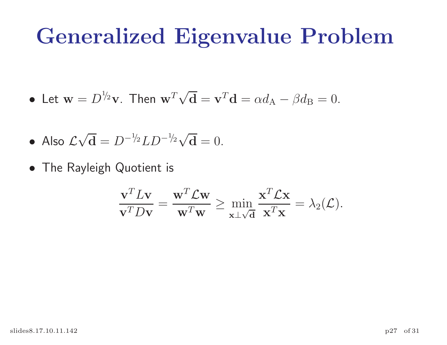#### Generalized Eigenvalue Problem

 $\bullet$  Let  $\mathbf{w}=D^{1\!}/_{2}\mathbf{v}$ . Then  $\mathbf{w}^{T}$  $\sqrt{\mathbf{d}} = \mathbf{v}^T \mathbf{d} = \alpha d_A - \beta d_B = 0.$ 

• Also 
$$
\mathcal{L}\sqrt{\mathbf{d}} = D^{-1/2}LD^{-1/2}\sqrt{\mathbf{d}} = 0.
$$

• The Rayleigh Quotient is

$$
\frac{\mathbf{v}^T L \mathbf{v}}{\mathbf{v}^T D \mathbf{v}} = \frac{\mathbf{w}^T \mathcal{L} \mathbf{w}}{\mathbf{w}^T \mathbf{w}} \ge \min_{\mathbf{x} \perp \sqrt{\mathbf{d}}} \frac{\mathbf{x}^T \mathcal{L} \mathbf{x}}{\mathbf{x}^T \mathbf{x}} = \lambda_2(\mathcal{L}).
$$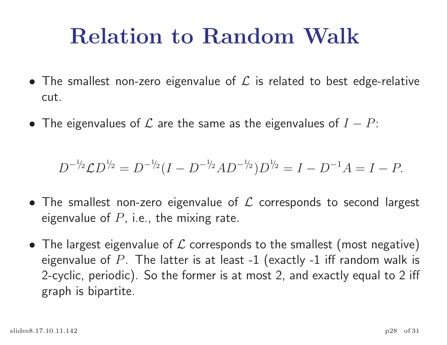## Relation to Random Walk

- $\bullet$  The smallest non-zero eigenvalue of  ${\cal L}$  is related to best edge-relative cut.
- The eigenvalues of  ${\cal L}$  are the same as the eigenvalues of  $I-P$ :

$$
D^{-1/2} \mathcal{L} D^{1/2} = D^{-1/2} (I - D^{-1/2} A D^{-1/2}) D^{1/2} = I - D^{-1} A = I - P.
$$

- $\bullet$  The smallest non-zero eigenvalue of  ${\cal L}$  corresponds to second largest eigenvalue of  $P$ , i.e., the mixing rate.
- $\bullet\,$  The largest eigenvalue of  ${\cal L}$  corresponds to the smallest (most negative) eigenvalue of  $P_{\cdot}$  The latter is at least -1 (exactly -1 iff random walk is 2-cyclic, periodic). So the former is at most 2, and exactly equal to <sup>2</sup> iff graph is bipartite.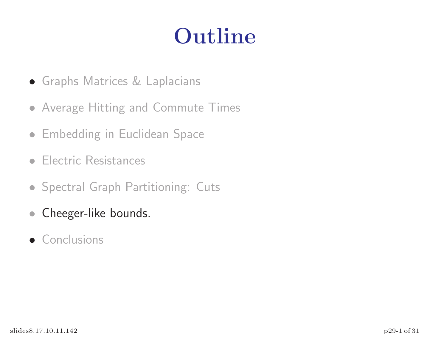## Outline

- Graphs Matrices & Laplacians
- Average Hitting and Commute Times
- Embedding in Euclidean Space
- Electric Resistances
- Spectral Graph Partitioning: Cuts
- Cheeger-like bounds.
- Conclusions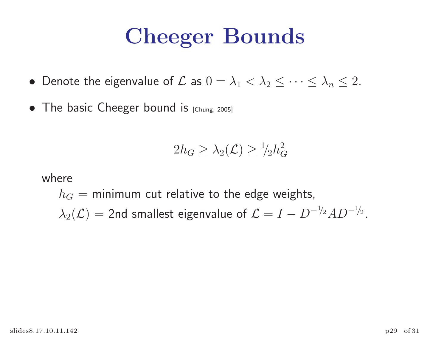## Cheeger Bounds

- Denote the eigenvalue of  $\mathcal L$  as  $0 = \lambda_1 < \lambda_2 \leq \cdots \leq \lambda_n \leq 2.$
- The basic Cheeger bound is [Chung, 2005]

$$
2h_G \geq \lambda_2(\mathcal{L}) \geq \frac{1}{2}h_G^2
$$

where

 $h_G = \mathsf{minimum}$  cut relative to the edge weights,  $\lambda_2(\mathcal{L}) = 2$ nd smallest eigenvalue of  $\mathcal{L} = I - D^{-1/2}AD^{-1/2}$ .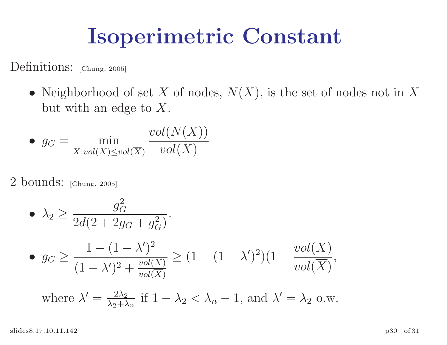## Isoperimetric Constant

Definitions: [Chung, 2005]

• Neighborhood of set X of nodes,  $N(X)$ , is the set of nodes not in X but with an edge to  $X$ .

• 
$$
g_G = \min_{X: vol(X) \le vol(\overline{X})} \frac{vol(N(X))}{vol(X)}
$$

2 bounds: [Chung, 2005]

\n- \n
$$
\begin{aligned}\n &\lambda_2 \geq \frac{g_G^2}{2d(2 + 2g_G + g_G^2)} \\
 &\text{or} \quad \frac{1 - (1 - \lambda')^2}{(1 - \lambda')^2 + \frac{vol(X)}{vol(\overline{X})}} \geq (1 - (1 - \lambda')^2)(1 - \frac{vol(X)}{vol(\overline{X})}, \text{ where } \lambda' = \frac{2\lambda_2}{\lambda_2 + \lambda_n} \text{ if } 1 - \lambda_2 < \lambda_n - 1, \text{ and } \lambda' = \lambda_2 \text{ o.w.}\n \end{aligned}
$$
\n
\n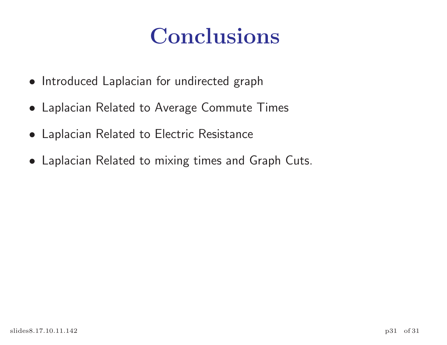## Conclusions

- Introduced Laplacian for undirected graph
- Laplacian Related to Average Commute Times
- Laplacian Related to Electric Resistance
- Laplacian Related to mixing times and Graph Cuts.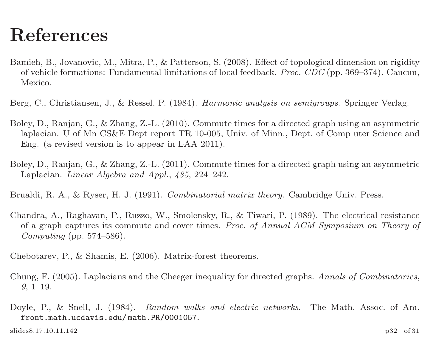#### References

- Bamieh, B., Jovanovic, M., Mitra, P., & Patterson, S. (2008). Effect of topological dimension on rigidity of vehicle formations: Fundamental limitations of local feedback. Proc. CDC (pp. 369–374). Cancun, Mexico.
- Berg, C., Christiansen, J., & Ressel, P. (1984). Harmonic analysis on semigroups. Springer Verlag.
- Boley, D., Ranjan, G., & Zhang, Z.-L. (2010). Commute times for a directed grap<sup>h</sup> using an asymmetric laplacian. U of Mn CS&E Dept report TR 10-005, Univ. of Minn., Dept. of Comp uter Science and Eng. (a revised version is to appear in LAA 2011).
- Boley, D., Ranjan, G., & Zhang, Z.-L. (2011). Commute times for a directed grap<sup>h</sup> using an asymmetric Laplacian. Linear Algebra and Appl., 435, 224–242.
- Brualdi, R. A., & Ryser, H. J. (1991). *Combinatorial matrix theory*. Cambridge Univ. Press.
- Chandra, A., Raghavan, P., Ruzzo, W., Smolensky, R., & Tiwari, P. (1989). The electrical resistance of <sup>a</sup> graph captures its commute and cover times. Proc. of Annual ACM Symposium on Theory of Computing (pp.  $574-586$ ).
- Chebotarev, P., & Shamis, E. (2006). Matrix-forest theorems.
- Chung, F. (2005). Laplacians and the Cheeger inequality for directed graphs. Annals of Combinatorics, 9, 1–19.
- Doyle, P., & Snell, J. (1984). Random walks and electric networks. The Math. Assoc. of Am. front.math.ucdavis.edu/ math.PR/0001057.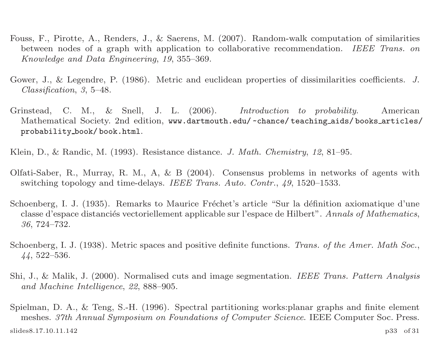- Fouss, F., Pirotte, A., Renders, J., & Saerens, M. (2007). Random-walk computation of similarities between nodes of a graph with application to collaborative recommendation. IEEE Trans. on Knowledge and Data Engineering, 19, 355–369.
- Gower, J., & Legendre, P. (1986). Metric and euclidean properties of dissimilarities coefficients. J. Classification, 3, 5–48.
- Grinstead, C. M., & Snell, J. L. (2006). Introduction to probability. American Mathematical Society. 2nd edition, www.dartmouth.edu/ ~chance/ teaching aids/ books articles/ probability book/ book.html.

Klein, D., & Randic, M. (1993). Resistance distance. J. Math. Chemistry, <sup>12</sup>, 81–95.

- Olfati-Saber, R., Murray, R. M., A, & <sup>B</sup> (2004). Consensus problems in networks of agents with switching topology and time-delays. IEEE Trans. Auto. Contr., 49, 1520–1533.
- Schoenberg, I. J. (1935). Remarks to Maurice Fréchet's article "Sur la définition axiomatique d'une classe d'espace distanciés vectoriellement applicable sur l'espace de Hilbert". Annals of Mathematics, 36, 724–732.
- Schoenberg, I. J. (1938). Metric spaces and positive definite functions. Trans. of the Amer. Math Soc., 44, 522–536.
- Shi, J., & Malik, J. (2000). Normalised cuts and image segmentation. IEEE Trans. Pattern Analysis and Machine Intelligence, 22, 888–905.
- Spielman, D. A., & Teng, S.-H. (1996). Spectral partitioning works:planar graphs and finite element meshes. 37th Annual Symposium on Foundations of Computer Science. IEEE Computer Soc. Press. slides8.17.10.11.142 p33 of 31